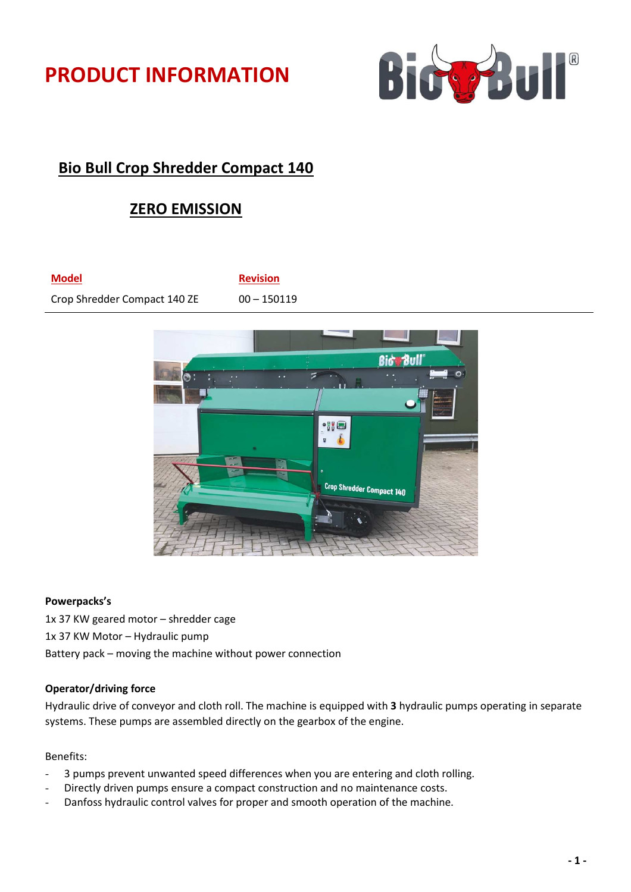



# **Bio Bull Crop Shredder Compact 140**

# **ZERO EMISSION**

**Model Revision** Crop Shredder Compact 140 ZE 00 - 150119



#### **Powerpacks's**

1x 37 KW geared motor – shredder cage 1x 37 KW Motor – Hydraulic pump Battery pack – moving the machine without power connection

## **Operator/driving force**

Hydraulic drive of conveyor and cloth roll. The machine is equipped with **3** hydraulic pumps operating in separate systems. These pumps are assembled directly on the gearbox of the engine.

## Benefits:

- 3 pumps prevent unwanted speed differences when you are entering and cloth rolling.
- Directly driven pumps ensure a compact construction and no maintenance costs.
- Danfoss hydraulic control valves for proper and smooth operation of the machine.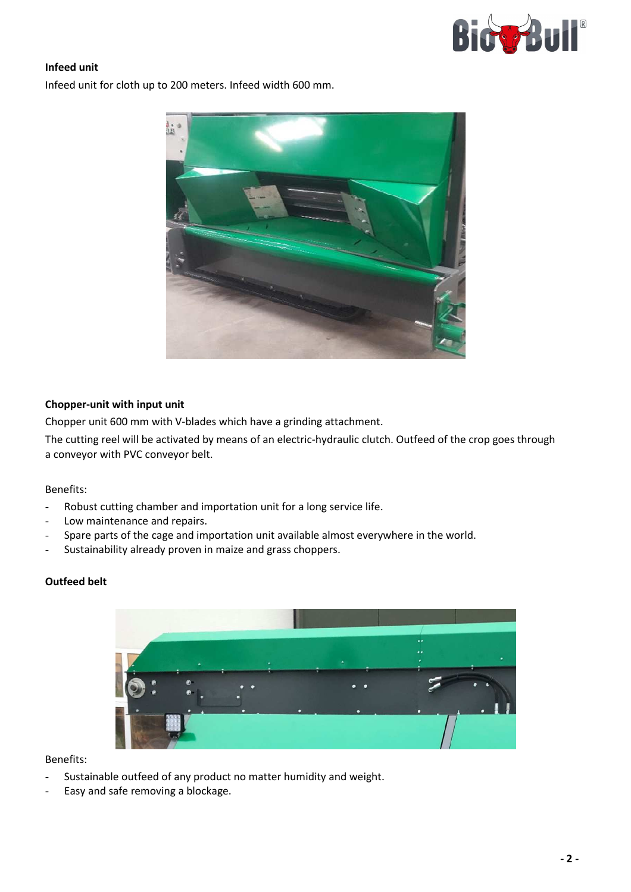

## **Infeed unit**

Infeed unit for cloth up to 200 meters. Infeed width 600 mm.



## **Chopper-unit with input unit**

Chopper unit 600 mm with V-blades which have a grinding attachment.

The cutting reel will be activated by means of an electric-hydraulic clutch. Outfeed of the crop goes through a conveyor with PVC conveyor belt.

#### Benefits:

- Robust cutting chamber and importation unit for a long service life.
- Low maintenance and repairs.
- Spare parts of the cage and importation unit available almost everywhere in the world.
- Sustainability already proven in maize and grass choppers.

## **Outfeed belt**



#### Benefits:

- Sustainable outfeed of any product no matter humidity and weight.
- Easy and safe removing a blockage.